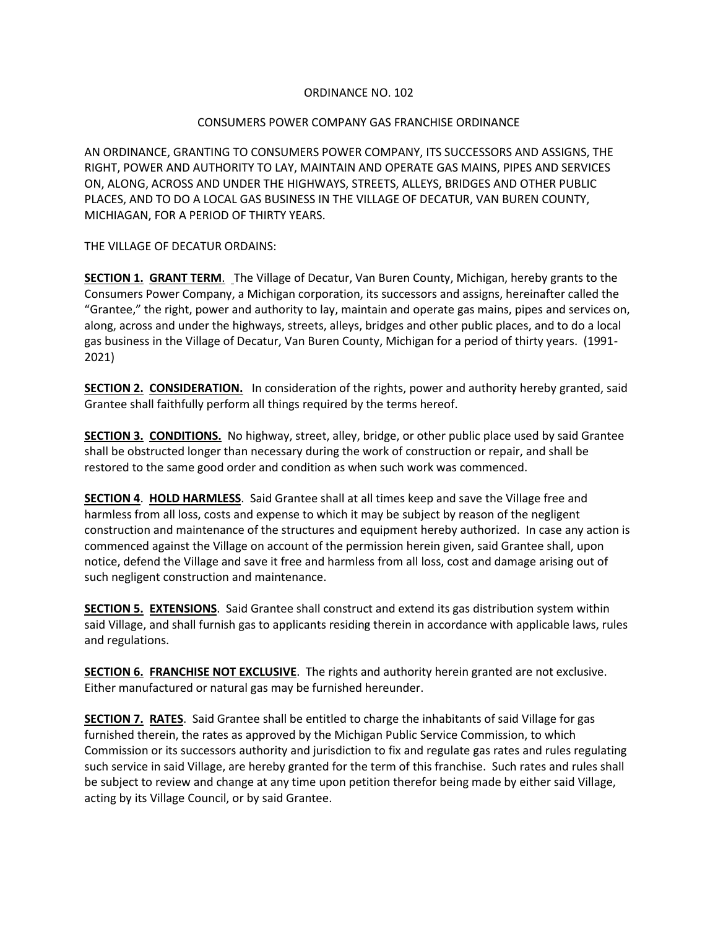## ORDINANCE NO. 102

## CONSUMERS POWER COMPANY GAS FRANCHISE ORDINANCE

AN ORDINANCE, GRANTING TO CONSUMERS POWER COMPANY, ITS SUCCESSORS AND ASSIGNS, THE RIGHT, POWER AND AUTHORITY TO LAY, MAINTAIN AND OPERATE GAS MAINS, PIPES AND SERVICES ON, ALONG, ACROSS AND UNDER THE HIGHWAYS, STREETS, ALLEYS, BRIDGES AND OTHER PUBLIC PLACES, AND TO DO A LOCAL GAS BUSINESS IN THE VILLAGE OF DECATUR, VAN BUREN COUNTY, MICHIAGAN, FOR A PERIOD OF THIRTY YEARS.

THE VILLAGE OF DECATUR ORDAINS:

**SECTION 1. GRANT TERM**. The Village of Decatur, Van Buren County, Michigan, hereby grants to the Consumers Power Company, a Michigan corporation, its successors and assigns, hereinafter called the "Grantee," the right, power and authority to lay, maintain and operate gas mains, pipes and services on, along, across and under the highways, streets, alleys, bridges and other public places, and to do a local gas business in the Village of Decatur, Van Buren County, Michigan for a period of thirty years. (1991- 2021)

**SECTION 2. CONSIDERATION.** In consideration of the rights, power and authority hereby granted, said Grantee shall faithfully perform all things required by the terms hereof.

**SECTION 3. CONDITIONS.** No highway, street, alley, bridge, or other public place used by said Grantee shall be obstructed longer than necessary during the work of construction or repair, and shall be restored to the same good order and condition as when such work was commenced.

**SECTION 4**. **HOLD HARMLESS**. Said Grantee shall at all times keep and save the Village free and harmless from all loss, costs and expense to which it may be subject by reason of the negligent construction and maintenance of the structures and equipment hereby authorized. In case any action is commenced against the Village on account of the permission herein given, said Grantee shall, upon notice, defend the Village and save it free and harmless from all loss, cost and damage arising out of such negligent construction and maintenance.

**SECTION 5. EXTENSIONS**. Said Grantee shall construct and extend its gas distribution system within said Village, and shall furnish gas to applicants residing therein in accordance with applicable laws, rules and regulations.

**SECTION 6. FRANCHISE NOT EXCLUSIVE**. The rights and authority herein granted are not exclusive. Either manufactured or natural gas may be furnished hereunder.

**SECTION 7. RATES**. Said Grantee shall be entitled to charge the inhabitants of said Village for gas furnished therein, the rates as approved by the Michigan Public Service Commission, to which Commission or its successors authority and jurisdiction to fix and regulate gas rates and rules regulating such service in said Village, are hereby granted for the term of this franchise. Such rates and rules shall be subject to review and change at any time upon petition therefor being made by either said Village, acting by its Village Council, or by said Grantee.